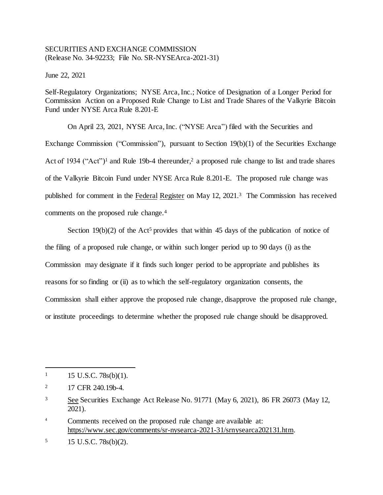## SECURITIES AND EXCHANGE COMMISSION (Release No. 34-92233; File No. SR-NYSEArca-2021-31)

June 22, 2021

Self-Regulatory Organizations; NYSE Arca, Inc.; Notice of Designation of a Longer Period for Commission Action on a Proposed Rule Change to List and Trade Shares of the Valkyrie Bitcoin Fund under NYSE Arca Rule 8.201-E

On April 23, 2021, NYSE Arca, Inc. ("NYSE Arca") filed with the Securities and Exchange Commission ("Commission"), pursuant to Section 19(b)(1) of the Securities Exchange Act of 1934 ("Act")<sup>1</sup> and Rule 19b-4 thereunder,<sup>2</sup> a proposed rule change to list and trade shares of the Valkyrie Bitcoin Fund under NYSE Arca Rule 8.201-E. The proposed rule change was published for comment in the Federal Register on May 12, 2021.<sup>3</sup> The Commission has received comments on the proposed rule change.<sup>4</sup>

Section 19(b)(2) of the Act<sup>5</sup> provides that within 45 days of the publication of notice of the filing of a proposed rule change, or within such longer period up to 90 days (i) as the Commission may designate if it finds such longer period to be appropriate and publishes its reasons for so finding or (ii) as to which the self-regulatory organization consents, the Commission shall either approve the proposed rule change, disapprove the proposed rule change, or institute proceedings to determine whether the proposed rule change should be disapproved.

l

 $1 \quad 15 \text{ U.S.C. } 78 \text{s(b)}(1).$ 

<sup>&</sup>lt;sup>2</sup> 17 CFR 240.19b-4.

<sup>3</sup> See Securities Exchange Act Release No. 91771 (May 6, 2021), 86 FR 26073 (May 12, 2021).

<sup>4</sup> Comments received on the proposed rule change are available at: https://www.sec.gov/comments/sr-nysearca-2021-31/srnysearca202131.htm.

 $15 \text{ U.S.C. } 78 \text{s(b)}(2)$ .